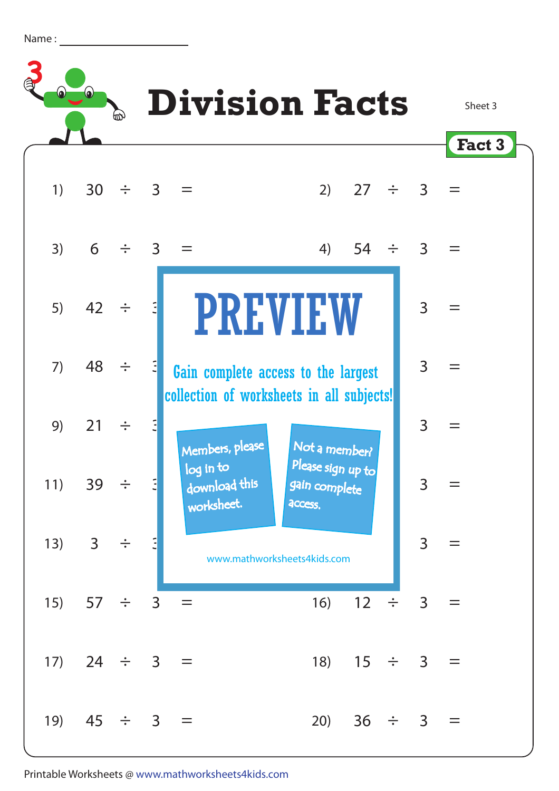